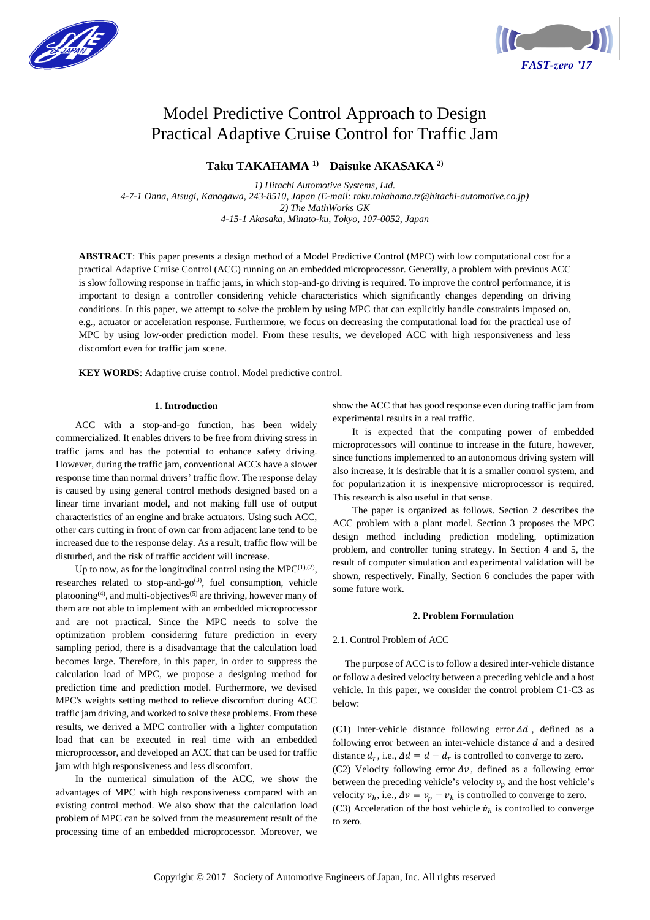



# Model Predictive Control Approach to Design Practical Adaptive Cruise Control for Traffic Jam

# **Taku TAKAHAMA 1) Daisuke AKASAKA 2)**

*1) Hitachi Automotive Systems, Ltd. 4-7-1 Onna, Atsugi, Kanagawa, 243-8510, Japan (E-mail: taku.takahama.tz@hitachi-automotive.co.jp) 2) The MathWorks GK 4-15-1 Akasaka, Minato-ku, Tokyo, 107-0052, Japan*

**ABSTRACT**: This paper presents a design method of a Model Predictive Control (MPC) with low computational cost for a practical Adaptive Cruise Control (ACC) running on an embedded microprocessor. Generally, a problem with previous ACC is slow following response in traffic jams, in which stop-and-go driving is required. To improve the control performance, it is important to design a controller considering vehicle characteristics which significantly changes depending on driving conditions. In this paper, we attempt to solve the problem by using MPC that can explicitly handle constraints imposed on, e.g., actuator or acceleration response. Furthermore, we focus on decreasing the computational load for the practical use of MPC by using low-order prediction model. From these results, we developed ACC with high responsiveness and less discomfort even for traffic jam scene.

**KEY WORDS**: Adaptive cruise control. Model predictive control.

# **1. Introduction**

ACC with a stop-and-go function, has been widely commercialized. It enables drivers to be free from driving stress in traffic jams and has the potential to enhance safety driving. However, during the traffic jam, conventional ACCs have a slower response time than normal drivers' traffic flow. The response delay is caused by using general control methods designed based on a linear time invariant model, and not making full use of output characteristics of an engine and brake actuators. Using such ACC, other cars cutting in front of own car from adjacent lane tend to be increased due to the response delay. As a result, traffic flow will be disturbed, and the risk of traffic accident will increase.

Up to now, as for the longitudinal control using the  $MPC^{(1),(2)}$ , researches related to stop-and-go<sup>(3)</sup>, fuel consumption, vehicle platooning<sup>(4)</sup>, and multi-objectives<sup>(5)</sup> are thriving, however many of them are not able to implement with an embedded microprocessor and are not practical. Since the MPC needs to solve the optimization problem considering future prediction in every sampling period, there is a disadvantage that the calculation load becomes large. Therefore, in this paper, in order to suppress the calculation load of MPC, we propose a designing method for prediction time and prediction model. Furthermore, we devised MPC's weights setting method to relieve discomfort during ACC traffic jam driving, and worked to solve these problems. From these results, we derived a MPC controller with a lighter computation load that can be executed in real time with an embedded microprocessor, and developed an ACC that can be used for traffic jam with high responsiveness and less discomfort.

In the numerical simulation of the ACC, we show the advantages of MPC with high responsiveness compared with an existing control method. We also show that the calculation load problem of MPC can be solved from the measurement result of the processing time of an embedded microprocessor. Moreover, we show the ACC that has good response even during traffic jam from experimental results in a real traffic.

It is expected that the computing power of embedded microprocessors will continue to increase in the future, however, since functions implemented to an autonomous driving system will also increase, it is desirable that it is a smaller control system, and for popularization it is inexpensive microprocessor is required. This research is also useful in that sense.

The paper is organized as follows. Section 2 describes the ACC problem with a plant model. Section 3 proposes the MPC design method including prediction modeling, optimization problem, and controller tuning strategy. In Section 4 and 5, the result of computer simulation and experimental validation will be shown, respectively. Finally, Section 6 concludes the paper with some future work.

# **2. Problem Formulation**

#### 2.1. Control Problem of ACC

The purpose of ACC is to follow a desired inter-vehicle distance or follow a desired velocity between a preceding vehicle and a host vehicle. In this paper, we consider the control problem C1-C3 as below:

(C1) Inter-vehicle distance following error  $\Delta d$ , defined as a following error between an inter-vehicle distance  $d$  and a desired distance  $d_r$ , i.e.,  $\Delta d = d - d_r$  is controlled to converge to zero. (C2) Velocity following error  $\Delta v$ , defined as a following error between the preceding vehicle's velocity  $v_p$  and the host vehicle's velocity  $v_h$ , i.e.,  $\Delta v = v_p - v_h$  is controlled to converge to zero. (C3) Acceleration of the host vehicle  $\dot{v}_h$  is controlled to converge to zero.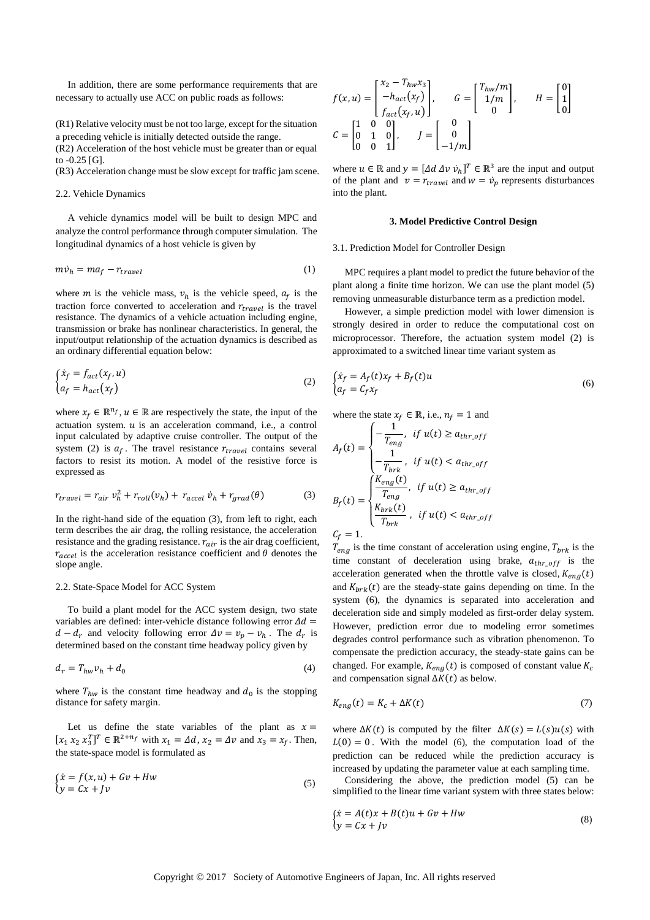In addition, there are some performance requirements that are necessary to actually use ACC on public roads as follows:

(R1) Relative velocity must be not too large, except for the situation a preceding vehicle is initially detected outside the range.

(R2) Acceleration of the host vehicle must be greater than or equal to -0.25 [G].

(R3) Acceleration change must be slow except for traffic jam scene.

#### 2.2. Vehicle Dynamics

A vehicle dynamics model will be built to design MPC and analyze the control performance through computer simulation. The longitudinal dynamics of a host vehicle is given by

$$
m\dot{v}_h = ma_f - r_{travel} \tag{1}
$$

where *m* is the vehicle mass,  $v_h$  is the vehicle speed,  $a_f$  is the traction force converted to acceleration and  $r_{travel}$  is the travel resistance. The dynamics of a vehicle actuation including engine, transmission or brake has nonlinear characteristics. In general, the input/output relationship of the actuation dynamics is described as an ordinary differential equation below:

$$
\begin{cases}\n\dot{x}_f = f_{act}(x_f, u) \\
a_f = h_{act}(x_f)\n\end{cases}
$$
\n(2)

where  $x_f \in \mathbb{R}^{n_f}$ ,  $u \in \mathbb{R}$  are respectively the state, the input of the actuation system.  $u$  is an acceleration command, i.e., a control input calculated by adaptive cruise controller. The output of the system (2) is  $a_f$ . The travel resistance  $r_{travel}$  contains several factors to resist its motion. A model of the resistive force is expressed as

$$
r_{travel} = r_{air} v_h^2 + r_{roll}(v_h) + r_{accel} \dot{v}_h + r_{grad}(\theta)
$$
 (3)

In the right-hand side of the equation (3), from left to right, each term describes the air drag, the rolling resistance, the acceleration resistance and the grading resistance.  $r_{air}$  is the air drag coefficient,  $r_{accel}$  is the acceleration resistance coefficient and  $\theta$  denotes the slope angle.

#### 2.2. State-Space Model for ACC System

To build a plant model for the ACC system design, two state variables are defined: inter-vehicle distance following error  $\Delta d =$  $d - d_r$  and velocity following error  $\Delta v = v_p - v_h$ . The  $d_r$  is determined based on the constant time headway policy given by

$$
d_r = T_{hw} v_h + d_0 \tag{4}
$$

where  $T_{hw}$  is the constant time headway and  $d_0$  is the stopping distance for safety margin.

Let us define the state variables of the plant as  $x =$  $[x_1 x_2 x_3^T]^T \in \mathbb{R}^{2+n_f}$  with  $x_1 = \Delta d$ ,  $x_2 = \Delta v$  and  $x_3 = x_f$ . Then, the state-space model is formulated as

$$
\begin{aligned} \n\dot{x} &= f(x, u) + Gv + Hw\\ \n\dot{y} &= Cx + Jv \tag{5} \n\end{aligned}
$$

$$
f(x, u) = \begin{bmatrix} x_2 - T_{hw} x_3 \\ -h_{act}(x_f) \\ f_{act}(x_f, u) \end{bmatrix}, \qquad G = \begin{bmatrix} T_{hw}/m \\ 1/m \\ 0 \end{bmatrix}, \qquad H = \begin{bmatrix} 0 \\ 1 \\ 0 \end{bmatrix}
$$

$$
C = \begin{bmatrix} 1 & 0 & 0 \\ 0 & 1 & 0 \\ 0 & 0 & 1 \end{bmatrix}, \qquad J = \begin{bmatrix} 0 \\ 0 \\ -1/m \end{bmatrix}
$$

where  $u \in \mathbb{R}$  and  $y = [\Delta d \Delta v \dot{v}_h]^T \in \mathbb{R}^3$  are the input and output of the plant and  $v = r_{travel}$  and  $w = \dot{v}_p$  represents disturbances into the plant.

### **3. Model Predictive Control Design**

#### 3.1. Prediction Model for Controller Design

MPC requires a plant model to predict the future behavior of the plant along a finite time horizon. We can use the plant model (5) removing unmeasurable disturbance term as a prediction model.

However, a simple prediction model with lower dimension is strongly desired in order to reduce the computational cost on microprocessor. Therefore, the actuation system model (2) is approximated to a switched linear time variant system as

$$
\begin{cases} \dot{x}_f = A_f(t)x_f + B_f(t)u \\ a_f = C_f x_f \end{cases} \tag{6}
$$

where the state  $x_f \in \mathbb{R}$ , i.e.,  $n_f = 1$  and

$$
A_f(t) = \begin{cases} -\frac{1}{T_{eng}}, & \text{if } u(t) \ge a_{thr\_off} \\ -\frac{1}{T_{brk}}, & \text{if } u(t) < a_{thr\_off} \\ \frac{K_{eng}(t)}{T_{eng}}, & \text{if } u(t) \ge a_{thr\_off} \end{cases}
$$
\n
$$
B_f(t) = \begin{cases} \frac{K_{eng}(t)}{T_{eng}}, & \text{if } u(t) \ge a_{thr\_off} \\ \frac{K_{brk}(t)}{T_{brk}}, & \text{if } u(t) < a_{thr\_off} \end{cases}
$$
\n
$$
C_f = 1.
$$

 $T_{eng}$  is the time constant of acceleration using engine,  $T_{brk}$  is the time constant of deceleration using brake,  $a_{thr\_off}$  is the acceleration generated when the throttle valve is closed,  $K_{enq}(t)$ and  $K_{brk}(t)$  are the steady-state gains depending on time. In the system (6), the dynamics is separated into acceleration and deceleration side and simply modeled as first-order delay system. However, prediction error due to modeling error sometimes degrades control performance such as vibration phenomenon. To compensate the prediction accuracy, the steady-state gains can be changed. For example,  $K_{eng}(t)$  is composed of constant value  $K_c$ and compensation signal  $\Delta K(t)$  as below.

$$
K_{eng}(t) = K_c + \Delta K(t) \tag{7}
$$

where  $\Delta K(t)$  is computed by the filter  $\Delta K(s) = L(s)u(s)$  with  $L(0) = 0$ . With the model (6), the computation load of the prediction can be reduced while the prediction accuracy is increased by updating the parameter value at each sampling time.

Considering the above, the prediction model (5) can be simplified to the linear time variant system with three states below:

$$
\begin{aligned} \n\dot{x} &= A(t)x + B(t)u + Gv + Hw\\ \n\dot{y} &= Cx + Jv \n\end{aligned} \tag{8}
$$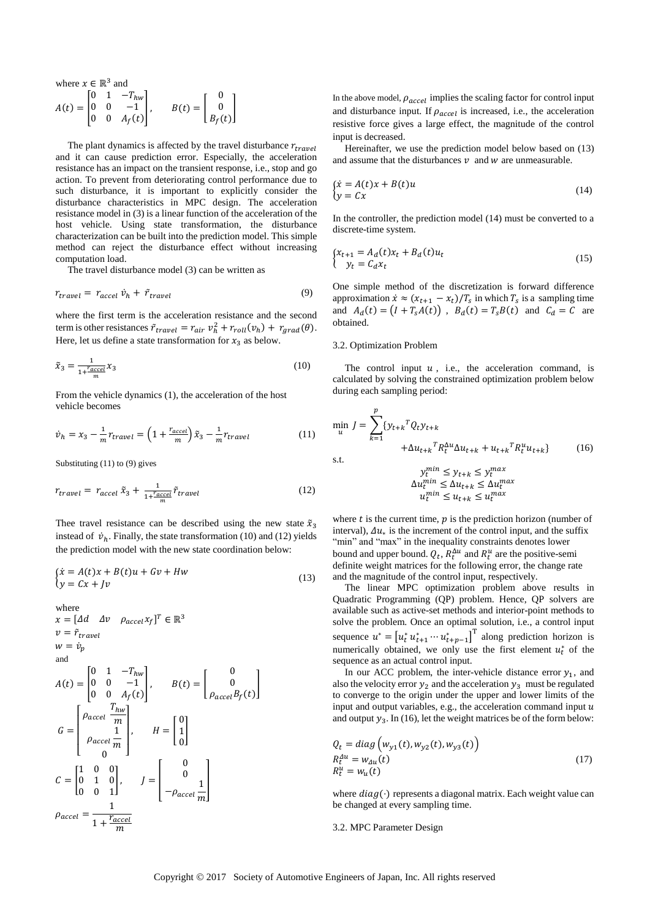where 
$$
x \in \mathbb{R}^3
$$
 and  
\n
$$
A(t) = \begin{bmatrix} 0 & 1 & -T_{hw} \\ 0 & 0 & -1 \\ 0 & 0 & A_f(t) \end{bmatrix}, \qquad B(t) = \begin{bmatrix} 0 \\ 0 \\ B_f(t) \end{bmatrix}
$$

The plant dynamics is affected by the travel disturbance  $r_{travel}$ and it can cause prediction error. Especially, the acceleration resistance has an impact on the transient response, i.e., stop and go action. To prevent from deteriorating control performance due to such disturbance, it is important to explicitly consider the disturbance characteristics in MPC design. The acceleration resistance model in (3) is a linear function of the acceleration of the host vehicle. Using state transformation, the disturbance characterization can be built into the prediction model. This simple method can reject the disturbance effect without increasing computation load.

The travel disturbance model (3) can be written as

$$
r_{travel} = r_{accel} \dot{v}_h + \tilde{r}_{travel} \tag{9}
$$

where the first term is the acceleration resistance and the second term is other resistances  $\tilde{r}_{travel} = r_{air} v_h^2 + r_{roll}(v_h) + r_{grad}(\theta)$ . Here, let us define a state transformation for  $x_3$  as below.

$$
\tilde{x}_3 = \frac{1}{1 + \frac{r_{accel}}{m}} x_3 \tag{10}
$$

From the vehicle dynamics (1), the acceleration of the host vehicle becomes

$$
\dot{v}_h = x_3 - \frac{1}{m} r_{travel} = \left(1 + \frac{r_{accel}}{m}\right) \tilde{x}_3 - \frac{1}{m} r_{travel} \tag{11}
$$

Substituting (11) to (9) gives

where

$$
r_{travel} = r_{accel} \tilde{x}_3 + \frac{1}{1 + \frac{r_{accel}}{m}} \tilde{r}_{travel}
$$
 (12)

Thee travel resistance can be described using the new state  $\tilde{x}_3$ instead of  $\dot{v}_h$ . Finally, the state transformation (10) and (12) yields the prediction model with the new state coordination below:

$$
\begin{aligned} \n\mathbf{x} &= A(t)\mathbf{x} + B(t)\mathbf{u} + G\mathbf{v} + H\mathbf{w} \\ \n\mathbf{y} &= C\mathbf{x} + J\mathbf{v} \n\end{aligned} \tag{13}
$$

$$
x = [Ad \Delta v \space \rho_{accel} x_f]^T \in \mathbb{R}^3
$$
  
\n
$$
v = \tilde{r}_{travel}
$$
  
\n
$$
w = \dot{v}_p
$$
  
\nand  
\n
$$
A(t) = \begin{bmatrix} 0 & 1 & -T_{hw} \\ 0 & 0 & -1 \\ 0 & 0 & A_f(t) \end{bmatrix}, \qquad B(t) = \begin{bmatrix} 0 \\ 0 \\ \rho_{accel} B_f(t) \end{bmatrix}
$$
  
\n
$$
G = \begin{bmatrix} P_{accel} \frac{T_{hw}}{m} \\ \rho_{accel} \frac{1}{m} \\ 0 \end{bmatrix}, \qquad H = \begin{bmatrix} 0 \\ 1 \\ 0 \end{bmatrix}
$$
  
\n
$$
C = \begin{bmatrix} 1 & 0 & 0 \\ 0 & 1 & 0 \\ 0 & 0 & 1 \end{bmatrix}, \qquad J = \begin{bmatrix} 0 \\ 0 \\ -\rho_{accel} \frac{1}{m} \end{bmatrix}
$$
  
\n
$$
\rho_{accel} = \frac{1}{1 + \frac{T_{accel}}{m}}
$$

In the above model,  $\rho_{accel}$  implies the scaling factor for control input and disturbance input. If  $\rho_{accel}$  is increased, i.e., the acceleration resistive force gives a large effect, the magnitude of the control input is decreased.

Hereinafter, we use the prediction model below based on (13) and assume that the disturbances  $\nu$  and  $w$  are unmeasurable.

$$
\begin{aligned} \n\zeta \dot{x} &= A(t)x + B(t)u \\ \n\psi &= Cx \n\end{aligned} \tag{14}
$$

In the controller, the prediction model (14) must be converted to a discrete-time system.

$$
\begin{cases} x_{t+1} = A_d(t)x_t + B_d(t)u_t \\ y_t = C_d x_t \end{cases}
$$
\n(15)

One simple method of the discretization is forward difference approximation  $\dot{x} \approx (x_{t+1} - x_t)/T_s$  in which  $T_s$  is a sampling time and  $A_d(t) = (I + T_s A(t))$ ,  $B_d(t) = T_s B(t)$  and  $C_d = C$  are obtained.

#### 3.2. Optimization Problem

The control input  $u$ , i.e., the acceleration command, is calculated by solving the constrained optimization problem below during each sampling period:

$$
\min_{u} J = \sum_{k=1}^{p} \{y_{t+k}^{T} Q_{t} y_{t+k} + \Delta u_{t+k}^{T} R_{t}^{\Delta u} \Delta u_{t+k} + u_{t+k}^{T} R_{t}^{u} u_{t+k}\}
$$
\n
$$
\text{s.t.} \qquad \text{where} \qquad \text{(16)}
$$

$$
\begin{aligned} y_t^{min} &\leq y_{t+k} \leq y_t^{max} \\ \Delta u_t^{min} &\leq \Delta u_{t+k} \leq \Delta u_t^{max} \\ u_t^{min} &\leq u_{t+k} \leq u_t^{max} \end{aligned}
$$

where  $t$  is the current time,  $p$  is the prediction horizon (number of interval),  $\Delta u_*$  is the increment of the control input, and the suffix "min" and "max" in the inequality constraints denotes lower bound and upper bound.  $Q_t$ ,  $R_t^{\Delta u}$  and  $R_t^u$  are the positive-semi definite weight matrices for the following error, the change rate and the magnitude of the control input, respectively.

The linear MPC optimization problem above results in Quadratic Programming (QP) problem. Hence, QP solvers are available such as active-set methods and interior-point methods to solve the problem. Once an optimal solution, i.e., a control input sequence  $u^* = [u_t^* u_{t+1}^* \cdots u_{t+p-1}^*]^T$  along prediction horizon is numerically obtained, we only use the first element  $u_t^*$  of the sequence as an actual control input.

In our ACC problem, the inter-vehicle distance error  $y_1$ , and also the velocity error  $y_2$  and the acceleration  $y_3$  must be regulated to converge to the origin under the upper and lower limits of the input and output variables, e.g., the acceleration command input  $u$ and output  $y_3$ . In (16), let the weight matrices be of the form below:

$$
Q_t = diag(w_{y1}(t), w_{y2}(t), w_{y3}(t))
$$
  
\n
$$
R_t^{\Delta u} = w_{\Delta u}(t)
$$
  
\n
$$
R_t^u = w_u(t)
$$
\n(17)

where  $diag(\cdot)$  represents a diagonal matrix. Each weight value can be changed at every sampling time.

#### 3.2. MPC Parameter Design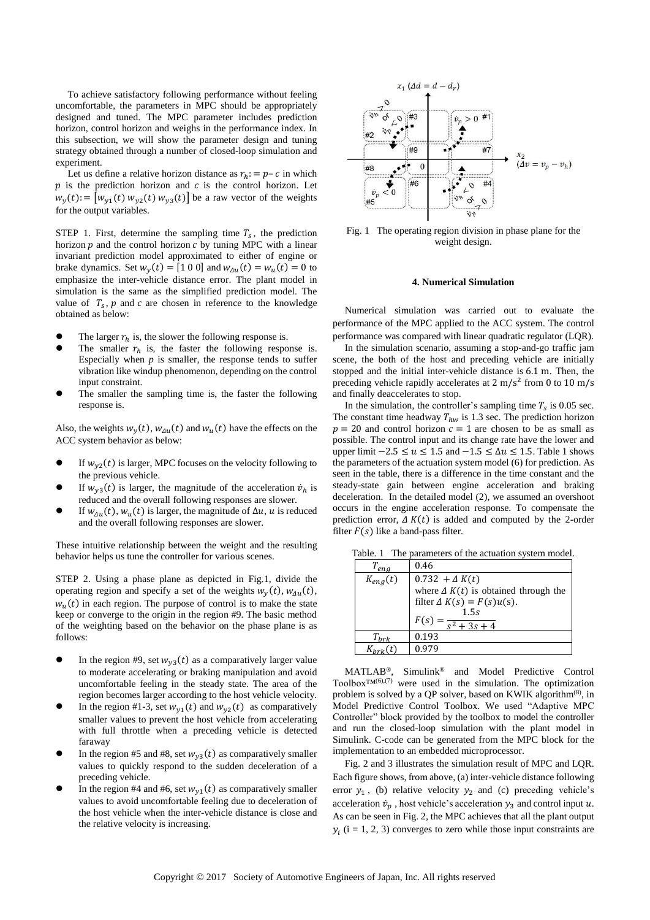To achieve satisfactory following performance without feeling uncomfortable, the parameters in MPC should be appropriately designed and tuned. The MPC parameter includes prediction horizon, control horizon and weighs in the performance index. In this subsection, we will show the parameter design and tuning strategy obtained through a number of closed-loop simulation and experiment.

Let us define a relative horizon distance as  $r_h$ : =  $p - c$  in which  $p$  is the prediction horizon and  $c$  is the control horizon. Let  $w_y(t) = [w_{y1}(t) w_{y2}(t) w_{y3}(t)]$  be a raw vector of the weights for the output variables.

STEP 1. First, determine the sampling time  $T_s$ , the prediction horizon  $p$  and the control horizon  $c$  by tuning MPC with a linear invariant prediction model approximated to either of engine or brake dynamics. Set  $w_y(t) = [1 \ 0 \ 0]$  and  $w_{\Delta u}(t) = w_u(t) = 0$  to emphasize the inter-vehicle distance error. The plant model in simulation is the same as the simplified prediction model. The value of  $T_s$ ,  $p$  and  $c$  are chosen in reference to the knowledge obtained as below:

- The larger  $r_h$  is, the slower the following response is.
- The smaller  $r_h$  is, the faster the following response is. Especially when  $p$  is smaller, the response tends to suffer vibration like windup phenomenon, depending on the control input constraint.
- The smaller the sampling time is, the faster the following response is.

Also, the weights  $w_y(t)$ ,  $w_{\Delta u}(t)$  and  $w_u(t)$  have the effects on the ACC system behavior as below:

- $\bullet$  If  $w_{y2}(t)$  is larger, MPC focuses on the velocity following to the previous vehicle.
- **If**  $w_{y3}(t)$  is larger, the magnitude of the acceleration  $\dot{v}_h$  is reduced and the overall following responses are slower.
- $\bullet$  If  $w_{\Delta u}(t)$ ,  $w_u(t)$  is larger, the magnitude of  $\Delta u$ ,  $u$  is reduced and the overall following responses are slower.

These intuitive relationship between the weight and the resulting behavior helps us tune the controller for various scenes.

STEP 2. Using a phase plane as depicted in Fig.1, divide the operating region and specify a set of the weights  $w_y(t)$ ,  $w_{\Delta u}(t)$ ,  $w<sub>u</sub>(t)$  in each region. The purpose of control is to make the state keep or converge to the origin in the region #9. The basic method of the weighting based on the behavior on the phase plane is as follows:

- In the region #9, set  $w_{y3}(t)$  as a comparatively larger value to moderate accelerating or braking manipulation and avoid uncomfortable feeling in the steady state. The area of the region becomes larger according to the host vehicle velocity.
- In the region #1-3, set  $w_{y1}(t)$  and  $w_{y2}(t)$  as comparatively smaller values to prevent the host vehicle from accelerating with full throttle when a preceding vehicle is detected faraway
- In the region #5 and #8, set  $w_{y3}(t)$  as comparatively smaller values to quickly respond to the sudden deceleration of a preceding vehicle.
- In the region #4 and #6, set  $w_{y1}(t)$  as comparatively smaller values to avoid uncomfortable feeling due to deceleration of the host vehicle when the inter-vehicle distance is close and the relative velocity is increasing.



Fig. 1 The operating region division in phase plane for the weight design.

## **4. Numerical Simulation**

Numerical simulation was carried out to evaluate the performance of the MPC applied to the ACC system. The control performance was compared with linear quadratic regulator (LQR).

In the simulation scenario, assuming a stop-and-go traffic jam scene, the both of the host and preceding vehicle are initially stopped and the initial inter-vehicle distance is 6.1 m. Then, the preceding vehicle rapidly accelerates at 2 m/s<sup>2</sup> from 0 to 10 m/s and finally deaccelerates to stop.

In the simulation, the controller's sampling time  $T_s$  is 0.05 sec. The constant time headway  $T_{hw}$  is 1.3 sec. The prediction horizon  $p = 20$  and control horizon  $c = 1$  are chosen to be as small as possible. The control input and its change rate have the lower and upper limit  $-2.5 \le u \le 1.5$  and  $-1.5 \le \Delta u \le 1.5$ . Table 1 shows the parameters of the actuation system model (6) for prediction. As seen in the table, there is a difference in the time constant and the steady-state gain between engine acceleration and braking deceleration. In the detailed model (2), we assumed an overshoot occurs in the engine acceleration response. To compensate the prediction error,  $\Delta K(t)$  is added and computed by the 2-order filter  $F(s)$  like a band-pass filter.

|  | Table. 1 The parameters of the actuation system model. |  |  |
|--|--------------------------------------------------------|--|--|
|--|--------------------------------------------------------|--|--|

| $T_{eng}$    | 0.46                                        |
|--------------|---------------------------------------------|
| $K_{eng}(t)$ | $0.732 + \Delta K(t)$                       |
|              | where $\Delta K(t)$ is obtained through the |
|              | filter $\Delta K(s) = F(s)u(s)$ .           |
|              | 1.5s<br>$\sqrt{c^2 + 3c +}$                 |
| $T_{hrk}$    | 0.193                                       |
|              | በ 979                                       |

MATLAB®, Simulink® and Model Predictive Control Toolbox™<sup>(6),(7)</sup> were used in the simulation. The optimization problem is solved by a QP solver, based on KWIK algorithm<sup>(8)</sup>, in Model Predictive Control Toolbox. We used "Adaptive MPC Controller" block provided by the toolbox to model the controller and run the closed-loop simulation with the plant model in Simulink. C-code can be generated from the MPC block for the implementation to an embedded microprocessor.

Fig. 2 and 3 illustrates the simulation result of MPC and LQR. Each figure shows, from above, (a) inter-vehicle distance following error  $y_1$ , (b) relative velocity  $y_2$  and (c) preceding vehicle's acceleration  $\dot{v}_p$ , host vehicle's acceleration  $y_3$  and control input u. As can be seen in Fig. 2, the MPC achieves that all the plant output  $y_i$  (i = 1, 2, 3) converges to zero while those input constraints are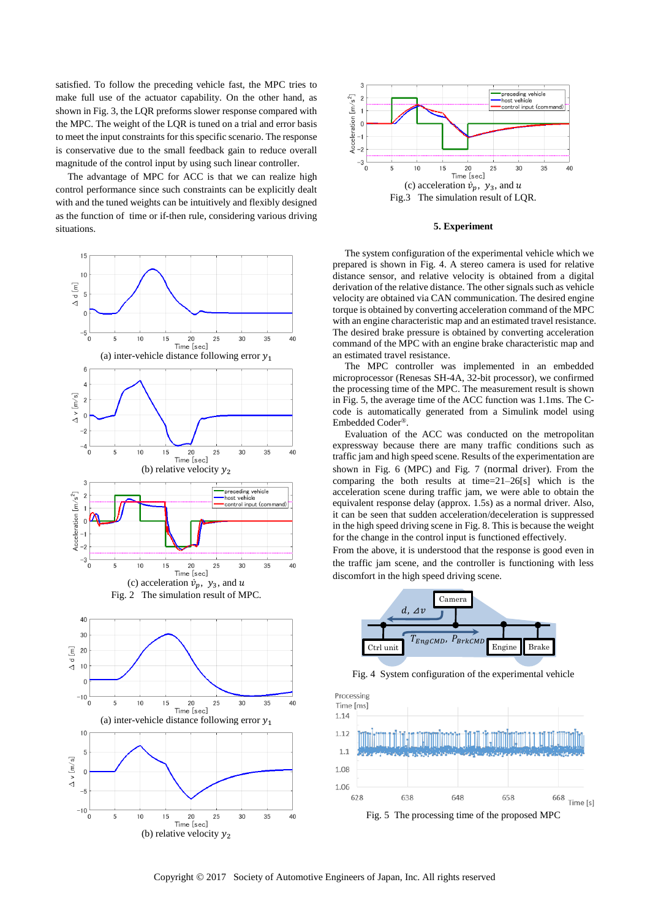satisfied. To follow the preceding vehicle fast, the MPC tries to make full use of the actuator capability. On the other hand, as shown in Fig. 3, the LQR preforms slower response compared with the MPC. The weight of the LQR is tuned on a trial and error basis to meet the input constraints for this specific scenario. The response is conservative due to the small feedback gain to reduce overall magnitude of the control input by using such linear controller.

The advantage of MPC for ACC is that we can realize high control performance since such constraints can be explicitly dealt with and the tuned weights can be intuitively and flexibly designed as the function of time or if-then rule, considering various driving situations.





#### **5. Experiment**

The system configuration of the experimental vehicle which we prepared is shown in Fig. 4. A stereo camera is used for relative distance sensor, and relative velocity is obtained from a digital derivation of the relative distance. The other signals such as vehicle velocity are obtained via CAN communication. The desired engine torque is obtained by converting acceleration command of the MPC with an engine characteristic map and an estimated travel resistance. The desired brake pressure is obtained by converting acceleration command of the MPC with an engine brake characteristic map and an estimated travel resistance.

The MPC controller was implemented in an embedded microprocessor (Renesas SH-4A, 32-bit processor), we confirmed the processing time of the MPC. The measurement result is shown in Fig. 5, the average time of the ACC function was 1.1ms. The Ccode is automatically generated from a Simulink model using Embedded Coder®.

Evaluation of the ACC was conducted on the metropolitan expressway because there are many traffic conditions such as traffic jam and high speed scene. Results of the experimentation are shown in Fig. 6 (MPC) and Fig. 7 (normal driver). From the comparing the both results at time=21–26[s] which is the acceleration scene during traffic jam, we were able to obtain the equivalent response delay (approx. 1.5s) as a normal driver. Also, it can be seen that sudden acceleration/deceleration is suppressed in the high speed driving scene in Fig. 8. This is because the weight for the change in the control input is functioned effectively.

From the above, it is understood that the response is good even in the traffic jam scene, and the controller is functioning with less discomfort in the high speed driving scene.



Fig. 4 System configuration of the experimental vehicle



Copyright 2017 Society of Automotive Engineers of Japan, Inc. All rights reserved